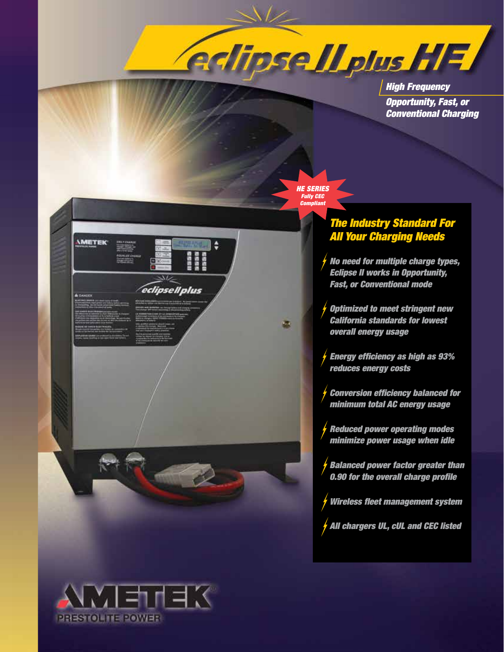**Adipse Il plus HF** 

*High Frequency Opportunity, Fast, or Conventional Charging*



西

٥

anas<br>Masa<br>Masa

eclipsell plus

## *The Industry Standard For All Your Charging Needs*

- *No need for multiple charge types, Eclipse II works in Opportunity, Fast, or Conventional mode*
- *Optimized to meet stringent new California standards for lowest overall energy usage*
- *Energy efficiency as high as 93% reduces energy costs*
- *Conversion efficiency balanced for minimum total AC energy usage*
- *Reduced power operating modes minimize power usage when idle*
- *Balanced power factor greater than 0.90 for the overall charge profile*
- *Wireless fleet management system*
- *All chargers UL, cUL and CEC listed*



*<u>IMETEK</u>*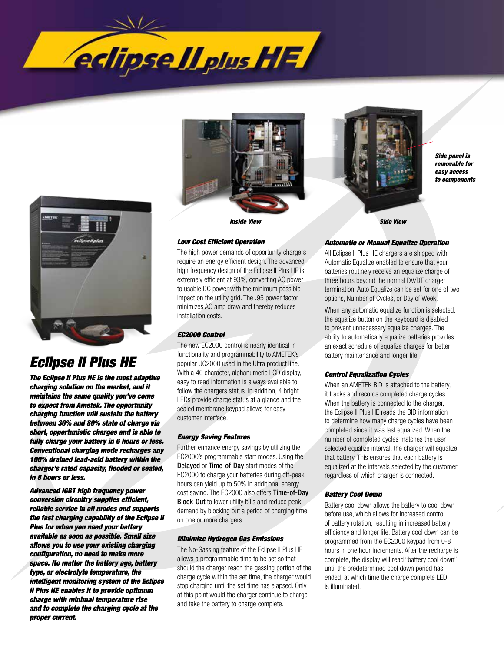



# *Eclipse II Plus HE*

*The Eclipse II Plus HE is the most adaptive charging solution on the market, and it maintains the same quality you've come to expect from Ametek. The opportunity charging function will sustain the battery between 30% and 80% state of charge via short, opportunistic charges and is able to fully charge your battery in 6 hours or less. Conventional charging mode recharges any 100% drained lead-acid battery within the charger's rated capacity, flooded or sealed, in 8 hours or less.* 

*Advanced IGBT high frequency power conversion circuitry supplies efficient, reliable service in all modes and supports the fast charging capability of the Eclipse II Plus for when you need your battery available as soon as possible. Small size allows you to use your existing charging configuration, no need to make more space. No matter the battery age, battery type, or electrolyte temperature, the intelligent monitoring system of the Eclipse II Plus HE enables it to provide optimum charge with minimal temperature rise and to complete the charging cycle at the proper current.* 





*Side panel is removable for easy access to components*

### *Low Cost Efficient Operation*

The high power demands of opportunity chargers require an energy efficient design. The advanced high frequency design of the Eclipse II Plus HE is extremely efficient at 93%, converting AC power to usable DC power with the minimum possible impact on the utility grid. The .95 power factor minimizes AC amp draw and thereby reduces installation costs.

#### *EC2000 Control*

The new EC2000 control is nearly identical in functionality and programmability to AMETEK's popular UC2000 used in the Ultra product line. With a 40 character, alphanumeric LCD display, easy to read information is always available to follow the chargers status. In addition, 4 bright LEDs provide charge status at a glance and the sealed membrane keypad allows for easy customer interface.

#### *Energy Saving Features*

Further enhance energy savings by utilizing the EC2000's programmable start modes. Using the Delayed or Time-of-Day start modes of the EC2000 to charge your batteries during off-peak hours can yield up to 50% in additional energy cost saving. The EC2000 also offers Time-of-Day Block-Out to lower utility bills and reduce peak demand by blocking out a period of charging time on one or more chargers.

#### *Minimize Hydrogen Gas Emissions*

The No-Gassing feature of the Eclipse II Plus HE allows a programmable time to be set so that should the charger reach the gassing portion of the charge cycle within the set time, the charger would stop charging until the set time has elapsed. Only at this point would the charger continue to charge and take the battery to charge complete.

#### *Automatic or Manual Equalize Operation*

All Eclipse II Plus HE chargers are shipped with Automatic Equalize enabled to ensure that your batteries routinely receive an equalize charge of three hours beyond the normal DV/DT charger termination. Auto Equalize can be set for one of two options, Number of Cycles, or Day of Week.

When any automatic equalize function is selected, the equalize button on the keyboard is disabled to prevent unnecessary equalize charges. The ability to automatically equalize batteries provides an exact schedule of equalize charges for better battery maintenance and longer life.

#### *Control Equalization Cycles*

When an AMETEK BID is attached to the battery, it tracks and records completed charge cycles. When the battery is connected to the charger, the Eclipse II Plus HE reads the BID information to determine how many charge cycles have been completed since it was last equalized. When the number of completed cycles matches the user selected equalize interval, the charger will equalize that battery. This ensures that each battery is equalized at the intervals selected by the customer regardless of which charger is connected.

#### *Battery Cool Down*

Battery cool down allows the battery to cool down before use, which allows for increased control of battery rotation, resulting in increased battery efficiency and longer life. Battery cool down can be programmed from the EC2000 keypad from 0-8 hours in one hour increments. After the recharge is complete, the display will read "battery cool down" until the predetermined cool down period has ended, at which time the charge complete LED is illuminated.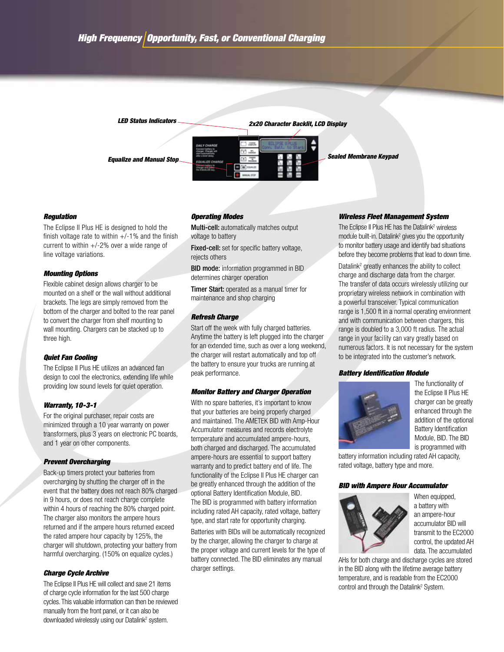

#### *Regulation*

The Eclipse II Plus HE is designed to hold the finish voltage rate to within  $+/-1\%$  and the finish current to within  $+/-2%$  over a wide range of line voltage variations.

#### *Mounting Options*

Flexible cabinet design allows charger to be mounted on a shelf or the wall without additional brackets. The legs are simply removed from the bottom of the charger and bolted to the rear panel to convert the charger from shelf mounting to wall mounting. Chargers can be stacked up to three high.

#### *Quiet Fan Cooling*

The Eclipse II Plus HE utilizes an advanced fan design to cool the electronics, extending life while providing low sound levels for quiet operation.

#### *Warranty, 10-3-1*

For the original purchaser, repair costs are minimized through a 10 year warranty on power transformers, plus 3 years on electronic PC boards, and 1 year on other components.

#### *Prevent Overcharging*

Back-up timers protect your batteries from overcharging by shutting the charger off in the event that the battery does not reach 80% charged in 9 hours, or does not reach charge complete within 4 hours of reaching the 80% charged point. The charger also monitors the ampere hours returned and if the ampere hours returned exceed the rated ampere hour capacity by 125%, the charger will shutdown, protecting your battery from harmful overcharging. (150% on equalize cycles.)

#### *Charge Cycle Archive*

The Eclipse II Plus HE will collect and save 21 items of charge cycle information for the last 500 charge cycles. This valuable information can then be reviewed manually from the front panel, or it can also be downloaded wirelessly using our Datalink<sup>2</sup> system.

#### *Operating Modes*

Multi-cell: automatically matches output voltage to battery

Fixed-cell: set for specific battery voltage, rejects others

BID mode: information programmed in BID determines charger operation

Timer Start: operated as a manual timer for maintenance and shop charging

#### *Refresh Charge*

Start off the week with fully charged batteries. Anytime the battery is left plugged into the charger for an extended time, such as over a long weekend, the charger will restart automatically and top off the battery to ensure your trucks are running at peak performance.

#### *Monitor Battery and Charger Operation*

With no spare batteries, it's important to know that your batteries are being properly charged and maintained. The AMETEK BID with Amp-Hour Accumulator measures and records electrolyte temperature and accumulated ampere-hours, both charged and discharged. The accumulated ampere-hours are essential to support battery warranty and to predict battery end of life. The functionality of the Eclipse II Plus HE charger can be greatly enhanced through the addition of the optional Battery Identification Module, BID. The BID is programmed with battery information including rated AH capacity, rated voltage, battery type, and start rate for opportunity charging.

Batteries with BIDs will be automatically recognized by the charger, allowing the charger to charge at the proper voltage and current levels for the type of battery connected. The BID eliminates any manual charger settings.

#### *Wireless Fleet Management System*

The Eclipse II Plus HE has the Datalink<sup>2</sup> wireless module built-in. Datalink<sup>2</sup> gives you the opportunity to monitor battery usage and identify bad situations before they become problems that lead to down time.

Datalink<sup>2</sup> greatly enhances the ability to collect charge and discharge data from the charger. The transfer of data occurs wirelessly utilizing our proprietary wireless network in combination with a powerful transceiver. Typical communication range is 1,500 ft in a normal operating environment and with communication between chargers, this range is doubled to a 3,000 ft radius. The actual range in your facility can vary greatly based on numerous factors. It is not necessary for the system to be integrated into the customer's network.

#### *Battery Identification Module*



The functionality of the Eclipse II Plus HE charger can be greatly enhanced through the addition of the optional Battery Identification Module, BID. The BID is programmed with

battery information including rated AH capacity, rated voltage, battery type and more.

#### *BID with Ampere Hour Accumulator*



When equipped, a battery with an ampere-hour accumulator BID will transmit to the EC2000 control, the updated AH data. The accumulated

AHs for both charge and discharge cycles are stored in the BID along with the lifetime average battery temperature, and is readable from the EC2000 control and through the Datalink<sup>2</sup> System.